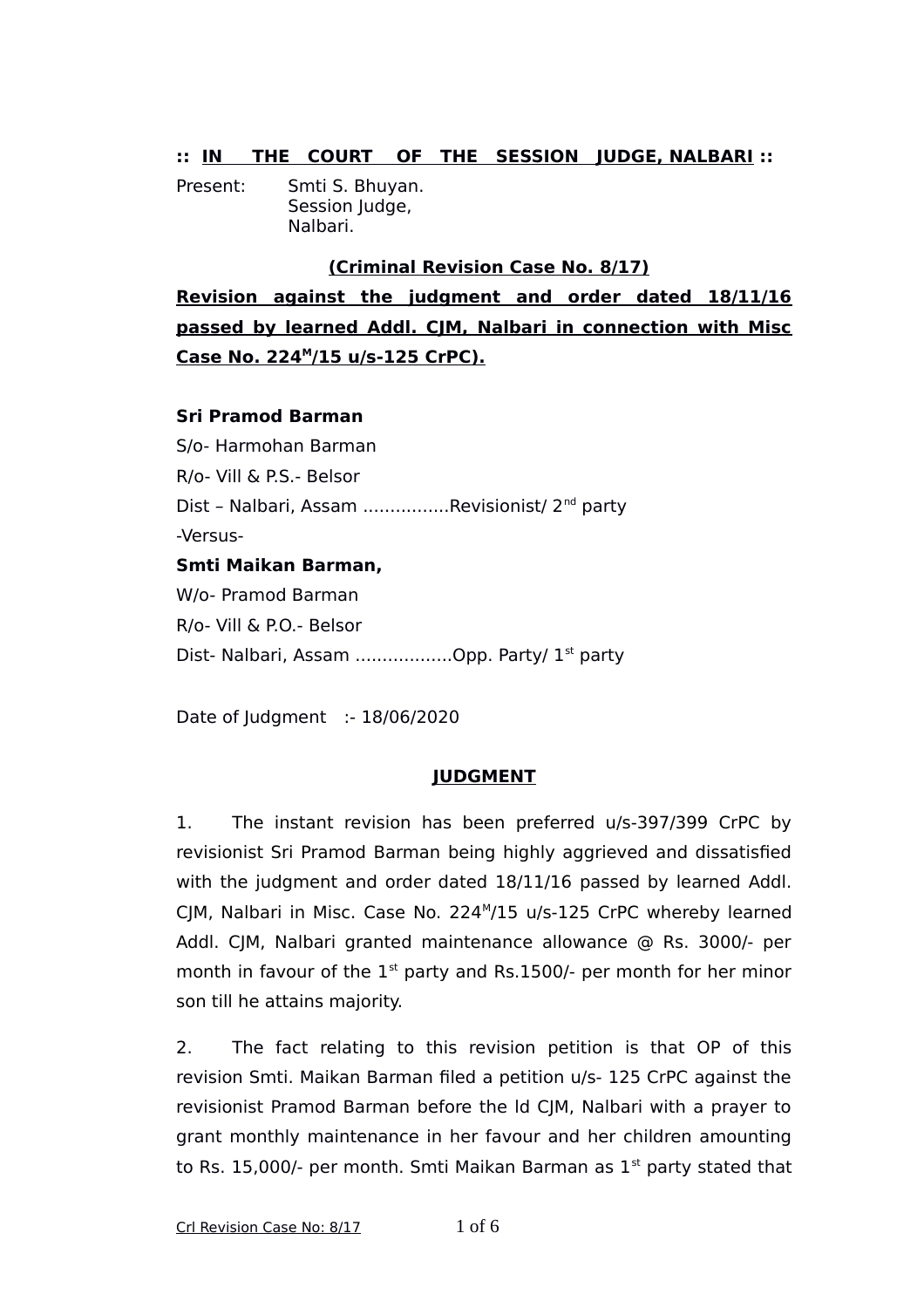## **:: IN THE COURT OF THE SESSION JUDGE, NALBARI ::**

Present: Smti S. Bhuyan. Session Judge, Nalbari.

## **(Criminal Revision Case No. 8/17)**

**Revision against the judgment and order dated 18/11/16 passed by learned Addl. CJM, Nalbari in connection with Misc Case No. 224<sup>M</sup> /15 u/s-125 CrPC).**

## **Sri Pramod Barman**

S/o- Harmohan Barman R/o- Vill & P.S.- Belsor Dist - Nalbari, Assam ................Revisionist/ 2<sup>nd</sup> party -Versus-**Smti Maikan Barman,**  W/o- Pramod Barman

R/o- Vill & P.O.- Belsor Dist- Nalbari, Assam ....................Opp. Party/ 1<sup>st</sup> party

Date of Judgment :- 18/06/2020

## **JUDGMENT**

1. The instant revision has been preferred u/s-397/399 CrPC by revisionist Sri Pramod Barman being highly aggrieved and dissatisfied with the judgment and order dated 18/11/16 passed by learned Addl. CJM, Nalbari in Misc. Case No. 224<sup>M</sup>/15 u/s-125 CrPC whereby learned Addl. CJM, Nalbari granted maintenance allowance @ Rs. 3000/- per month in favour of the  $1<sup>st</sup>$  party and Rs.1500/- per month for her minor son till he attains majority.

2. The fact relating to this revision petition is that OP of this revision Smti. Maikan Barman filed a petition u/s- 125 CrPC against the revisionist Pramod Barman before the ld CJM, Nalbari with a prayer to grant monthly maintenance in her favour and her children amounting to Rs. 15,000/- per month. Smti Maikan Barman as  $1<sup>st</sup>$  party stated that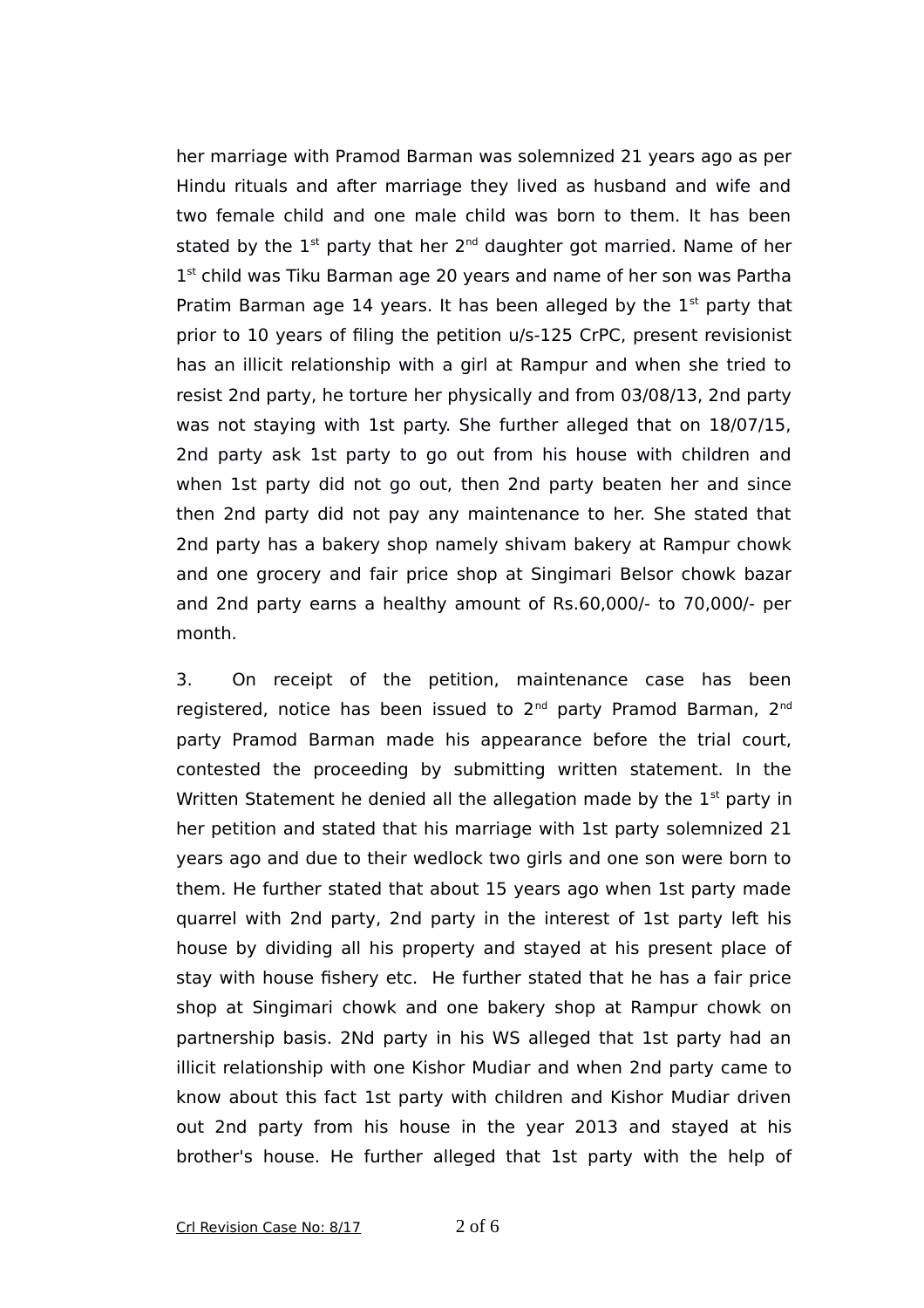her marriage with Pramod Barman was solemnized 21 years ago as per Hindu rituals and after marriage they lived as husband and wife and two female child and one male child was born to them. It has been stated by the  $1^{st}$  party that her  $2^{nd}$  daughter got married. Name of her 1<sup>st</sup> child was Tiku Barman age 20 years and name of her son was Partha Pratim Barman age 14 years. It has been alleged by the  $1<sup>st</sup>$  party that prior to 10 years of filing the petition u/s-125 CrPC, present revisionist has an illicit relationship with a girl at Rampur and when she tried to resist 2nd party, he torture her physically and from 03/08/13, 2nd party was not staying with 1st party. She further alleged that on 18/07/15, 2nd party ask 1st party to go out from his house with children and when 1st party did not go out, then 2nd party beaten her and since then 2nd party did not pay any maintenance to her. She stated that 2nd party has a bakery shop namely shivam bakery at Rampur chowk and one grocery and fair price shop at Singimari Belsor chowk bazar and 2nd party earns a healthy amount of Rs.60,000/- to 70,000/- per month.

3. On receipt of the petition, maintenance case has been registered, notice has been issued to 2<sup>nd</sup> party Pramod Barman, 2<sup>nd</sup> party Pramod Barman made his appearance before the trial court, contested the proceeding by submitting written statement. In the Written Statement he denied all the allegation made by the  $1<sup>st</sup>$  party in her petition and stated that his marriage with 1st party solemnized 21 years ago and due to their wedlock two girls and one son were born to them. He further stated that about 15 years ago when 1st party made quarrel with 2nd party, 2nd party in the interest of 1st party left his house by dividing all his property and stayed at his present place of stay with house fishery etc. He further stated that he has a fair price shop at Singimari chowk and one bakery shop at Rampur chowk on partnership basis. 2Nd party in his WS alleged that 1st party had an illicit relationship with one Kishor Mudiar and when 2nd party came to know about this fact 1st party with children and Kishor Mudiar driven out 2nd party from his house in the year 2013 and stayed at his brother's house. He further alleged that 1st party with the help of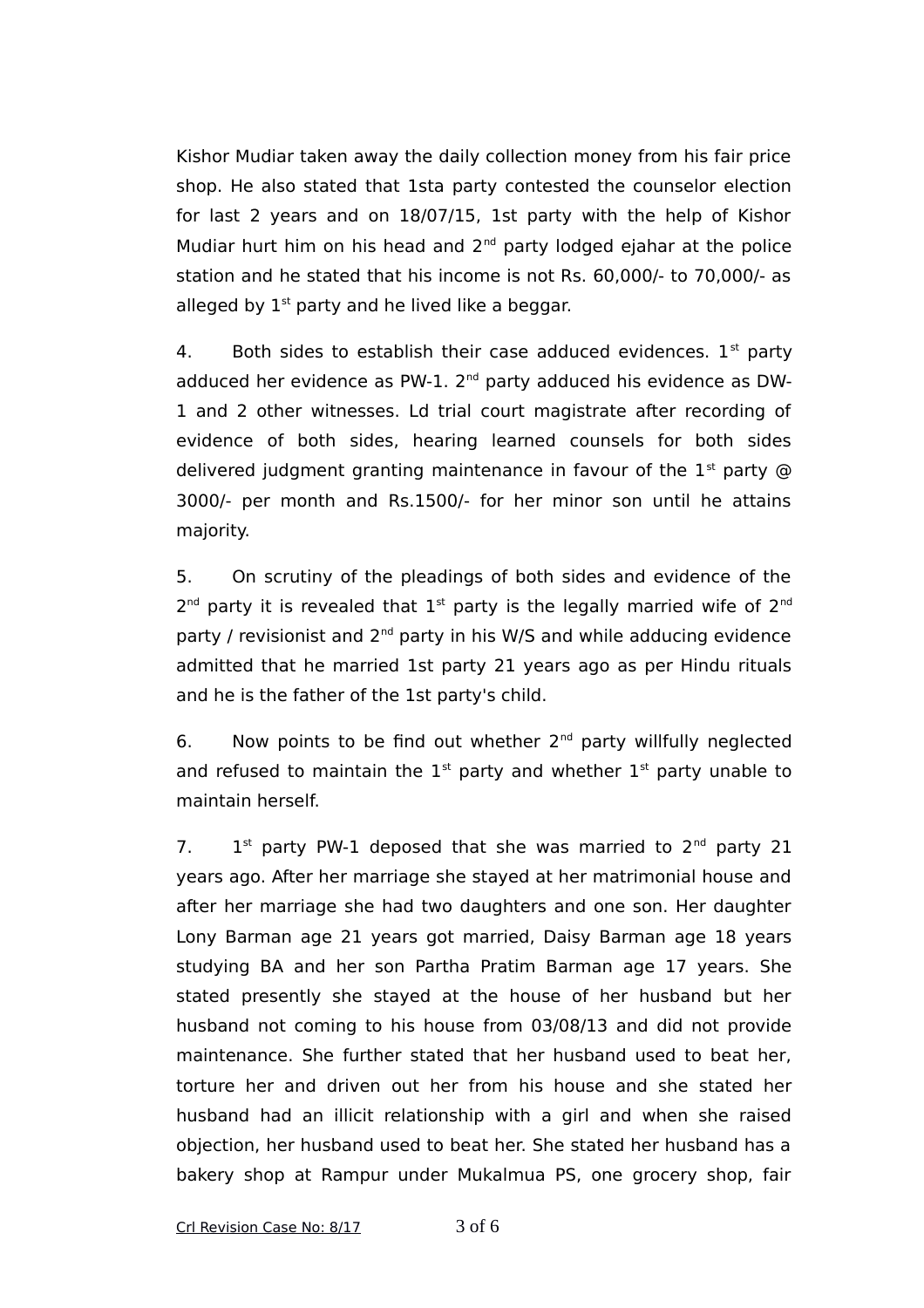Kishor Mudiar taken away the daily collection money from his fair price shop. He also stated that 1sta party contested the counselor election for last 2 years and on 18/07/15, 1st party with the help of Kishor Mudiar hurt him on his head and  $2^{nd}$  party lodged ejahar at the police station and he stated that his income is not Rs. 60,000/- to 70,000/- as alleged by  $1<sup>st</sup>$  party and he lived like a beggar.

4. Both sides to establish their case adduced evidences.  $1<sup>st</sup>$  party adduced her evidence as PW-1. 2<sup>nd</sup> party adduced his evidence as DW-1 and 2 other witnesses. Ld trial court magistrate after recording of evidence of both sides, hearing learned counsels for both sides delivered judgment granting maintenance in favour of the  $1<sup>st</sup>$  party @ 3000/- per month and Rs.1500/- for her minor son until he attains majority.

5. On scrutiny of the pleadings of both sides and evidence of the  $2<sup>nd</sup>$  party it is revealed that  $1<sup>st</sup>$  party is the legally married wife of  $2<sup>nd</sup>$ party / revisionist and 2<sup>nd</sup> party in his W/S and while adducing evidence admitted that he married 1st party 21 years ago as per Hindu rituals and he is the father of the 1st party's child.

6. Now points to be find out whether  $2<sup>nd</sup>$  party willfully neglected and refused to maintain the  $1<sup>st</sup>$  party and whether  $1<sup>st</sup>$  party unable to maintain herself.

 $7<sub>1</sub>$  $1<sup>st</sup>$  party PW-1 deposed that she was married to  $2<sup>nd</sup>$  party 21 years ago. After her marriage she stayed at her matrimonial house and after her marriage she had two daughters and one son. Her daughter Lony Barman age 21 years got married, Daisy Barman age 18 years studying BA and her son Partha Pratim Barman age 17 years. She stated presently she stayed at the house of her husband but her husband not coming to his house from 03/08/13 and did not provide maintenance. She further stated that her husband used to beat her, torture her and driven out her from his house and she stated her husband had an illicit relationship with a girl and when she raised objection, her husband used to beat her. She stated her husband has a bakery shop at Rampur under Mukalmua PS, one grocery shop, fair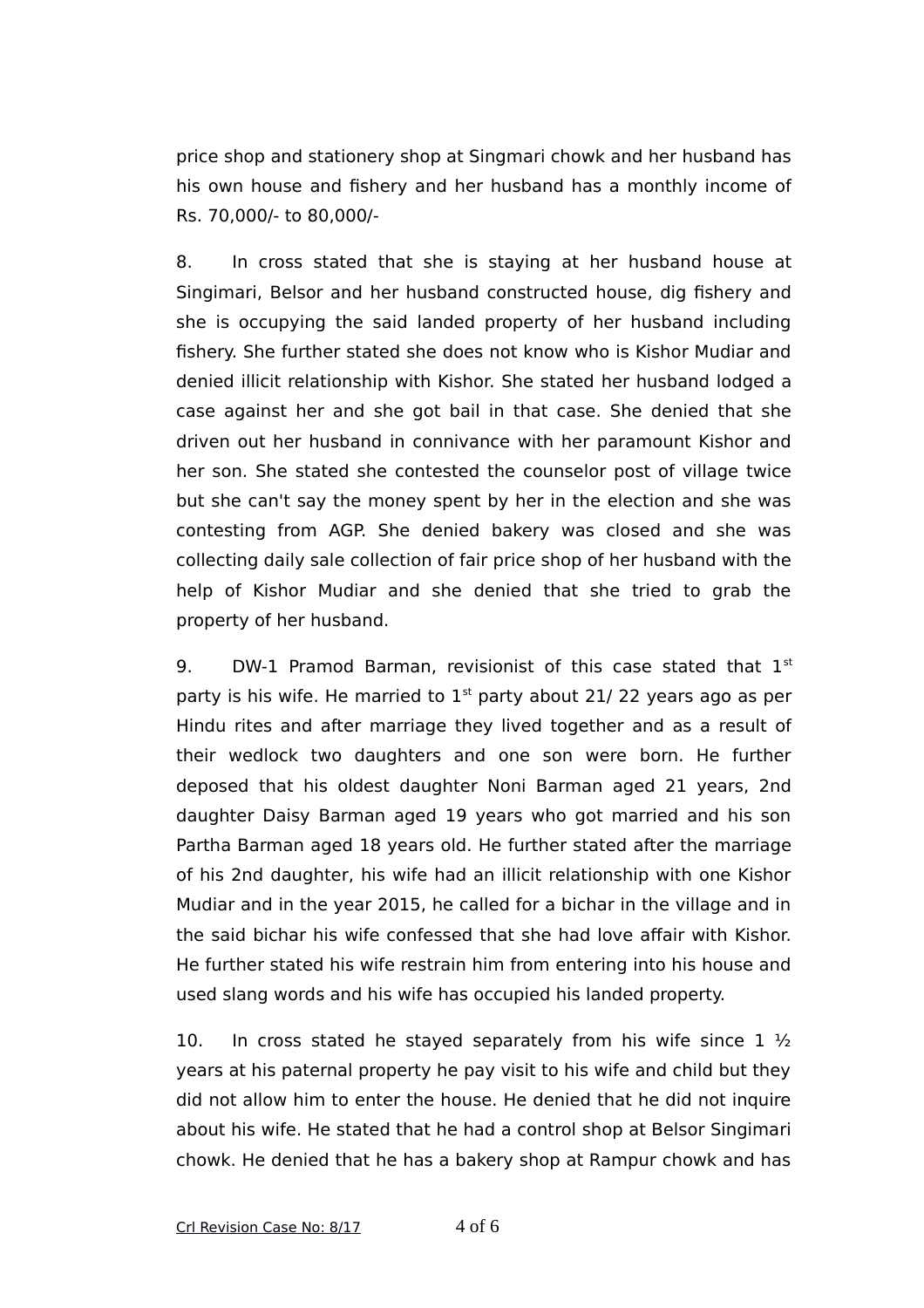price shop and stationery shop at Singmari chowk and her husband has his own house and fishery and her husband has a monthly income of Rs. 70,000/- to 80,000/-

8. In cross stated that she is staying at her husband house at Singimari, Belsor and her husband constructed house, dig fishery and she is occupying the said landed property of her husband including fishery. She further stated she does not know who is Kishor Mudiar and denied illicit relationship with Kishor. She stated her husband lodged a case against her and she got bail in that case. She denied that she driven out her husband in connivance with her paramount Kishor and her son. She stated she contested the counselor post of village twice but she can't say the money spent by her in the election and she was contesting from AGP. She denied bakery was closed and she was collecting daily sale collection of fair price shop of her husband with the help of Kishor Mudiar and she denied that she tried to grab the property of her husband.

9. DW-1 Pramod Barman, revisionist of this case stated that  $1<sup>st</sup>$ party is his wife. He married to  $1<sup>st</sup>$  party about 21/22 years ago as per Hindu rites and after marriage they lived together and as a result of their wedlock two daughters and one son were born. He further deposed that his oldest daughter Noni Barman aged 21 years, 2nd daughter Daisy Barman aged 19 years who got married and his son Partha Barman aged 18 years old. He further stated after the marriage of his 2nd daughter, his wife had an illicit relationship with one Kishor Mudiar and in the year 2015, he called for a bichar in the village and in the said bichar his wife confessed that she had love affair with Kishor. He further stated his wife restrain him from entering into his house and used slang words and his wife has occupied his landed property.

10. In cross stated he stayed separately from his wife since  $1\frac{1}{2}$ years at his paternal property he pay visit to his wife and child but they did not allow him to enter the house. He denied that he did not inquire about his wife. He stated that he had a control shop at Belsor Singimari chowk. He denied that he has a bakery shop at Rampur chowk and has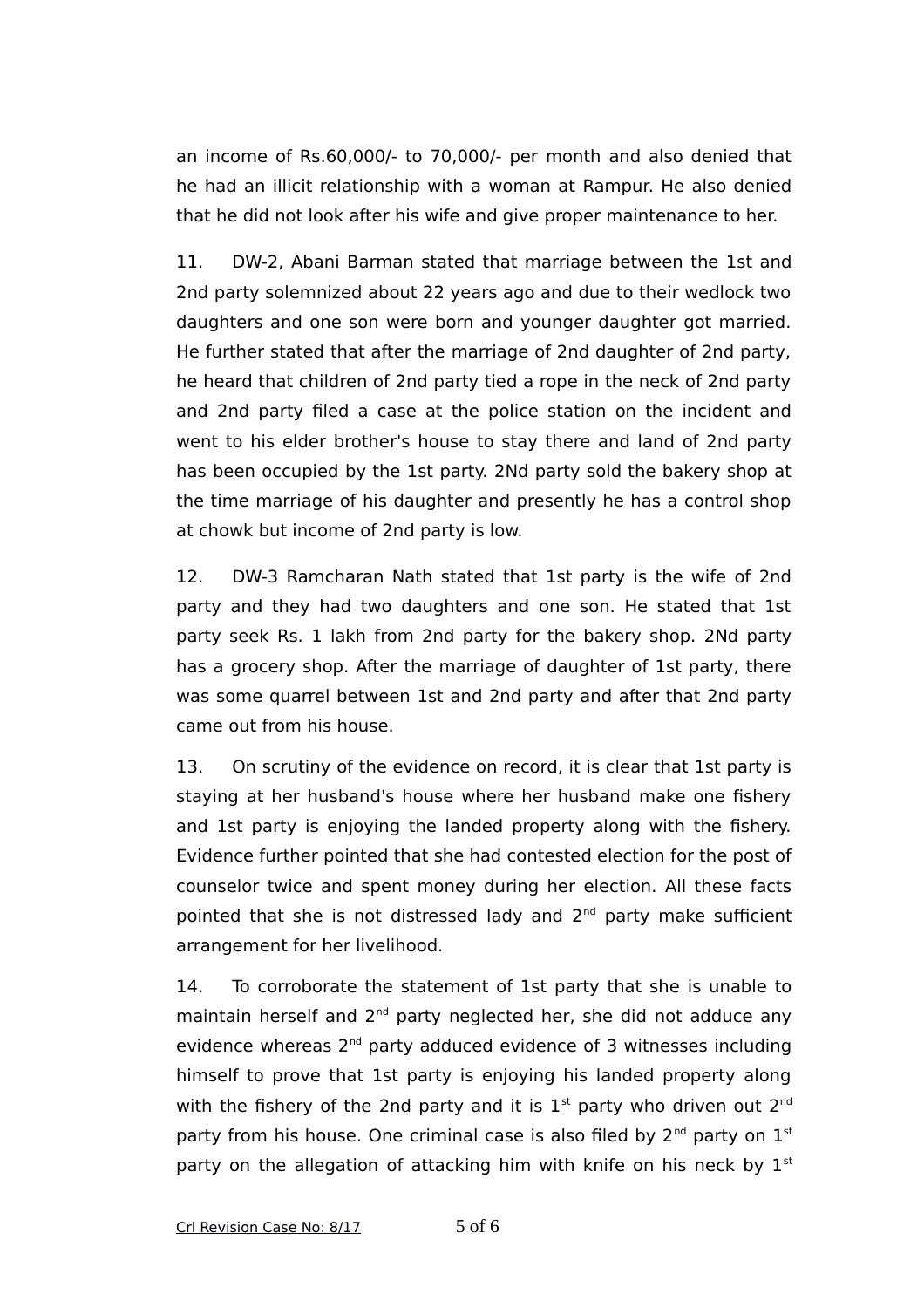an income of Rs.60,000/- to 70,000/- per month and also denied that he had an illicit relationship with a woman at Rampur. He also denied that he did not look after his wife and give proper maintenance to her.

11. DW-2, Abani Barman stated that marriage between the 1st and 2nd party solemnized about 22 years ago and due to their wedlock two daughters and one son were born and younger daughter got married. He further stated that after the marriage of 2nd daughter of 2nd party, he heard that children of 2nd party tied a rope in the neck of 2nd party and 2nd party filed a case at the police station on the incident and went to his elder brother's house to stay there and land of 2nd party has been occupied by the 1st party. 2Nd party sold the bakery shop at the time marriage of his daughter and presently he has a control shop at chowk but income of 2nd party is low.

12. DW-3 Ramcharan Nath stated that 1st party is the wife of 2nd party and they had two daughters and one son. He stated that 1st party seek Rs. 1 lakh from 2nd party for the bakery shop. 2Nd party has a grocery shop. After the marriage of daughter of 1st party, there was some quarrel between 1st and 2nd party and after that 2nd party came out from his house.

13. On scrutiny of the evidence on record, it is clear that 1st party is staying at her husband's house where her husband make one fishery and 1st party is enjoying the landed property along with the fishery. Evidence further pointed that she had contested election for the post of counselor twice and spent money during her election. All these facts pointed that she is not distressed lady and 2<sup>nd</sup> party make sufficient arrangement for her livelihood.

14. To corroborate the statement of 1st party that she is unable to maintain herself and 2<sup>nd</sup> party neglected her, she did not adduce any evidence whereas 2<sup>nd</sup> party adduced evidence of 3 witnesses including himself to prove that 1st party is enjoying his landed property along with the fishery of the 2nd party and it is  $1<sup>st</sup>$  party who driven out  $2<sup>nd</sup>$ party from his house. One criminal case is also filed by  $2<sup>nd</sup>$  party on  $1<sup>st</sup>$ party on the allegation of attacking him with knife on his neck by  $1<sup>st</sup>$